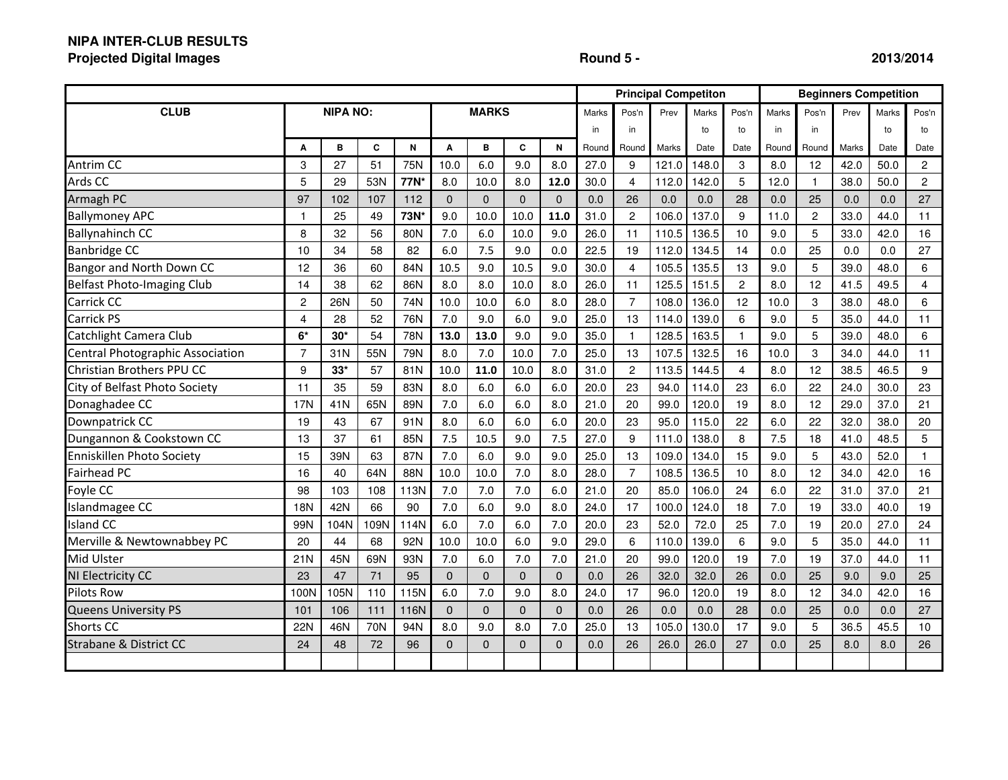# **NIPA INTER-CLUB RESULTS**

**Projected Digital Images**

## **Round 5 - 2013/2014**

|                                   |                |                 |      |      |              |                |                |              |       |                |       | <b>Principal Competiton</b> | <b>Beginners Competition</b> |       |                |       |       |                |
|-----------------------------------|----------------|-----------------|------|------|--------------|----------------|----------------|--------------|-------|----------------|-------|-----------------------------|------------------------------|-------|----------------|-------|-------|----------------|
| <b>CLUB</b>                       |                | <b>NIPA NO:</b> |      |      | <b>MARKS</b> |                |                |              | Marks | Pos'n          | Prev  | Marks                       | Pos'n                        | Marks | Pos'n          | Prev  | Marks | Pos'n          |
|                                   |                |                 |      |      |              | in             | in             |              | to    | to             | in    | in                          |                              | to    | to             |       |       |                |
|                                   | A              | B               | C    | N    | A            | в              | C              | N            | Round | Round          | Marks | Date                        | Date                         | Round | Round          | Marks | Date  | Date           |
| Antrim CC                         | 3              | 27              | 51   | 75N  | 10.0         | 6.0            | 9.0            | 8.0          | 27.0  | 9              | 121.0 | 148.0                       | 3                            | 8.0   | 12             | 42.0  | 50.0  | $\overline{c}$ |
| Ards CC                           | 5              | 29              | 53N  | 77N* | 8.0          | 10.0           | 8.0            | 12.0         | 30.0  | $\overline{4}$ | 112.0 | 142.0                       | 5                            | 12.0  | $\mathbf{1}$   | 38.0  | 50.0  | $\overline{c}$ |
| Armagh PC                         | 97             | 102             | 107  | 112  | $\Omega$     | $\overline{0}$ | $\Omega$       | $\Omega$     | 0.0   | 26             | 0.0   | 0.0                         | 28                           | 0.0   | 25             | 0.0   | 0.0   | 27             |
| <b>Ballymoney APC</b>             | $\mathbf{1}$   | 25              | 49   | 73N* | 9.0          | 10.0           | 10.0           | 11.0         | 31.0  | $\overline{c}$ | 106.0 | 137.0                       | 9                            | 11.0  | $\overline{c}$ | 33.0  | 44.0  | 11             |
| <b>Ballynahinch CC</b>            | 8              | 32              | 56   | 80N  | 7.0          | 6.0            | 10.0           | 9.0          | 26.0  | 11             | 110.5 | 136.5                       | 10                           | 9.0   | 5              | 33.0  | 42.0  | 16             |
| <b>Banbridge CC</b>               | 10             | 34              | 58   | 82   | 6.0          | 7.5            | 9.0            | 0.0          | 22.5  | 19             | 112.0 | 134.5                       | 14                           | 0.0   | 25             | 0.0   | 0.0   | 27             |
| Bangor and North Down CC          | 12             | 36              | 60   | 84N  | 10.5         | 9.0            | 10.5           | 9.0          | 30.0  | $\overline{4}$ | 105.5 | 135.5                       | 13                           | 9.0   | 5              | 39.0  | 48.0  | 6              |
| Belfast Photo-Imaging Club        | 14             | 38              | 62   | 86N  | 8.0          | 8.0            | 10.0           | 8.0          | 26.0  | 11             | 125.5 | 151.5                       | 2                            | 8.0   | 12             | 41.5  | 49.5  | $\overline{4}$ |
| Carrick CC                        | $\overline{c}$ | 26N             | 50   | 74N  | 10.0         | 10.0           | 6.0            | 8.0          | 28.0  | $\overline{7}$ | 108.0 | 136.0                       | 12                           | 10.0  | 3              | 38.0  | 48.0  | 6              |
| <b>Carrick PS</b>                 | $\overline{4}$ | 28              | 52   | 76N  | 7.0          | 9.0            | 6.0            | 9.0          | 25.0  | 13             | 114.0 | 139.0                       | 6                            | 9.0   | 5              | 35.0  | 44.0  | 11             |
| Catchlight Camera Club            | $6*$           | $30*$           | 54   | 78N  | 13.0         | 13.0           | 9.0            | 9.0          | 35.0  | $\mathbf{1}$   | 128.5 | 163.5                       | 1                            | 9.0   | 5              | 39.0  | 48.0  | 6              |
| Central Photographic Association  | $\overline{7}$ | 31N             | 55N  | 79N  | 8.0          | 7.0            | 10.0           | 7.0          | 25.0  | 13             | 107.5 | 132.5                       | 16                           | 10.0  | 3              | 34.0  | 44.0  | 11             |
| Christian Brothers PPU CC         | 9              | $33*$           | 57   | 81N  | 10.0         | 11.0           | 10.0           | 8.0          | 31.0  | $\overline{c}$ | 113.5 | 144.5                       | 4                            | 8.0   | 12             | 38.5  | 46.5  | 9              |
| City of Belfast Photo Society     | 11             | 35              | 59   | 83N  | 8.0          | 6.0            | 6.0            | 6.0          | 20.0  | 23             | 94.0  | 114.0                       | 23                           | 6.0   | 22             | 24.0  | 30.0  | 23             |
| Donaghadee CC                     | <b>17N</b>     | 41N             | 65N  | 89N  | 7.0          | 6.0            | 6.0            | 8.0          | 21.0  | 20             | 99.0  | 120.0                       | 19                           | 8.0   | 12             | 29.0  | 37.0  | 21             |
| Downpatrick CC                    | 19             | 43              | 67   | 91N  | 8.0          | 6.0            | 6.0            | 6.0          | 20.0  | 23             | 95.0  | 115.0                       | 22                           | 6.0   | 22             | 32.0  | 38.0  | 20             |
| Dungannon & Cookstown CC          | 13             | 37              | 61   | 85N  | 7.5          | 10.5           | 9.0            | 7.5          | 27.0  | 9              | 111.0 | 138.0                       | 8                            | 7.5   | 18             | 41.0  | 48.5  | 5              |
| Enniskillen Photo Society         | 15             | 39N             | 63   | 87N  | 7.0          | 6.0            | 9.0            | 9.0          | 25.0  | 13             | 109.0 | 134.0                       | 15                           | 9.0   | 5              | 43.0  | 52.0  | $\mathbf{1}$   |
| <b>Fairhead PC</b>                | 16             | 40              | 64N  | 88N  | 10.0         | 10.0           | 7.0            | 8.0          | 28.0  | $\overline{7}$ | 108.5 | 136.5                       | 10                           | 8.0   | 12             | 34.0  | 42.0  | 16             |
| Foyle CC                          | 98             | 103             | 108  | 113N | 7.0          | 7.0            | 7.0            | 6.0          | 21.0  | 20             | 85.0  | 106.0                       | 24                           | 6.0   | 22             | 31.0  | 37.0  | 21             |
| Islandmagee CC                    | <b>18N</b>     | 42N             | 66   | 90   | 7.0          | 6.0            | 9.0            | 8.0          | 24.0  | 17             | 100.0 | 124.0                       | 18                           | 7.0   | 19             | 33.0  | 40.0  | 19             |
| <b>Island CC</b>                  | 99N            | 104N            | 109N | 114N | 6.0          | 7.0            | 6.0            | 7.0          | 20.0  | 23             | 52.0  | 72.0                        | 25                           | 7.0   | 19             | 20.0  | 27.0  | 24             |
| Merville & Newtownabbey PC        | 20             | 44              | 68   | 92N  | 10.0         | 10.0           | 6.0            | 9.0          | 29.0  | 6              | 110.0 | 139.0                       | 6                            | 9.0   | 5              | 35.0  | 44.0  | 11             |
| Mid Ulster                        | 21N            | 45N             | 69N  | 93N  | 7.0          | 6.0            | 7.0            | 7.0          | 21.0  | 20             | 99.0  | 120.0                       | 19                           | 7.0   | 19             | 37.0  | 44.0  | 11             |
| NI Electricity CC                 | 23             | 47              | 71   | 95   | $\Omega$     | $\overline{0}$ | $\Omega$       | $\Omega$     | 0.0   | 26             | 32.0  | 32.0                        | 26                           | 0.0   | 25             | 9.0   | 9.0   | 25             |
| <b>Pilots Row</b>                 | 100N           | 105N            | 110  | 115N | 6.0          | 7.0            | 9.0            | 8.0          | 24.0  | 17             | 96.0  | 120.0                       | 19                           | 8.0   | 12             | 34.0  | 42.0  | 16             |
| Queens University PS              | 101            | 106             | 111  | 116N | $\Omega$     | $\overline{0}$ | $\Omega$       | $\mathbf{0}$ | 0.0   | 26             | 0.0   | 0.0                         | 28                           | 0.0   | 25             | 0.0   | 0.0   | 27             |
| <b>Shorts CC</b>                  | 22N            | 46N             | 70N  | 94N  | 8.0          | 9.0            | 8.0            | 7.0          | 25.0  | 13             | 105.0 | 130.0                       | 17                           | 9.0   | 5              | 36.5  | 45.5  | 10             |
| <b>Strabane &amp; District CC</b> | 24             | 48              | 72   | 96   | $\Omega$     | $\Omega$       | $\overline{0}$ | $\mathbf{0}$ | 0.0   | 26             | 26.0  | 26.0                        | 27                           | 0.0   | 25             | 8.0   | 8.0   | 26             |
|                                   |                |                 |      |      |              |                |                |              |       |                |       |                             |                              |       |                |       |       |                |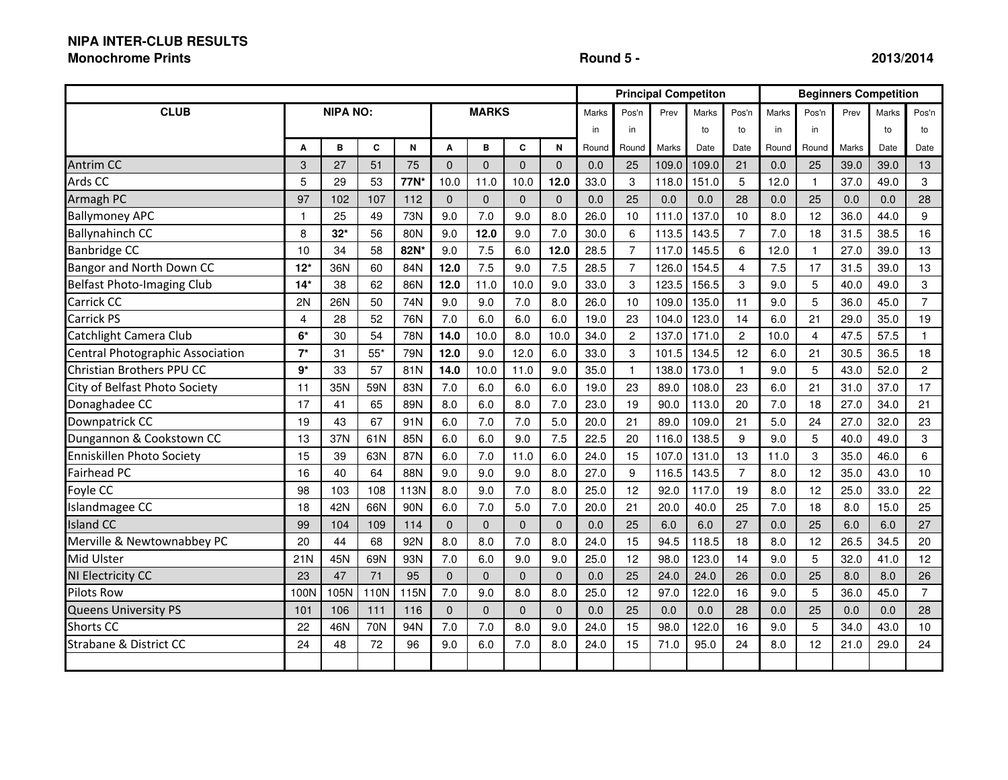# **NIPA INTER-CLUB RESULTS**

#### **Monochrome Prints**

### **Round 5 - 2013/2014**

|                                   |                 |            |             |      |                |              |                |              |              |                | <b>Principal Competiton</b> |       |                | <b>Beginners Competition</b> |                |       |       |                |  |
|-----------------------------------|-----------------|------------|-------------|------|----------------|--------------|----------------|--------------|--------------|----------------|-----------------------------|-------|----------------|------------------------------|----------------|-------|-------|----------------|--|
| <b>CLUB</b>                       | <b>NIPA NO:</b> |            |             |      | <b>MARKS</b>   |              |                |              | <b>Marks</b> | Pos'n          | Prev                        | Marks | Pos'n          | Marks                        | Pos'n          | Prev  | Marks | Pos'n          |  |
|                                   |                 |            |             |      |                |              |                | in           | in           |                | to                          | to    | in             | in                           |                | to    | to    |                |  |
|                                   | A               | B          | $\mathbf c$ | N    | A              | в            | C              | N            | Round        | Round          | Marks                       | Date  | Date           | Round                        | Round          | Marks | Date  | Date           |  |
| <b>Antrim CC</b>                  | 3               | 27         | 51          | 75   | $\overline{0}$ | $\mathbf{0}$ | $\overline{0}$ | $\mathbf{0}$ | 0.0          | 25             | 109.0                       | 109.0 | 21             | 0.0                          | 25             | 39.0  | 39.0  | 13             |  |
| Ards CC                           | 5               | 29         | 53          | 77N* | 10.0           | 11.0         | 10.0           | 12.0         | 33.0         | 3              | 118.0                       | 151.0 | 5              | 12.0                         | $\mathbf{1}$   | 37.0  | 49.0  | 3              |  |
| Armagh PC                         | 97              | 102        | 107         | 112  | $\Omega$       | $\Omega$     | $\Omega$       | $\Omega$     | 0.0          | 25             | 0.0                         | 0.0   | 28             | 0.0                          | 25             | 0.0   | 0.0   | 28             |  |
| <b>Ballymoney APC</b>             | $\mathbf{1}$    | 25         | 49          | 73N  | 9.0            | 7.0          | 9.0            | 8.0          | 26.0         | 10             | 111.0                       | 137.0 | 10             | 8.0                          | 12             | 36.0  | 44.0  | 9              |  |
| <b>Ballynahinch CC</b>            | 8               | $32*$      | 56          | 80N  | 9.0            | 12.0         | 9.0            | 7.0          | 30.0         | 6              | 113.5                       | 143.5 | $\overline{7}$ | 7.0                          | 18             | 31.5  | 38.5  | 16             |  |
| Banbridge CC                      | 10              | 34         | 58          | 82N* | 9.0            | 7.5          | 6.0            | 12.0         | 28.5         | $\overline{7}$ | 117.0                       | 145.5 | 6              | 12.0                         | $\mathbf{1}$   | 27.0  | 39.0  | 13             |  |
| Bangor and North Down CC          | $12*$           | 36N        | 60          | 84N  | 12.0           | 7.5          | 9.0            | 7.5          | 28.5         | $\overline{7}$ | 126.0                       | 154.5 | $\overline{4}$ | 7.5                          | 17             | 31.5  | 39.0  | 13             |  |
| Belfast Photo-Imaging Club        | $14*$           | 38         | 62          | 86N  | 12.0           | 11.0         | 10.0           | 9.0          | 33.0         | 3              | 123.5                       | 156.5 | 3              | 9.0                          | 5              | 40.0  | 49.0  | 3              |  |
| Carrick CC                        | 2N              | <b>26N</b> | 50          | 74N  | 9.0            | 9.0          | 7.0            | 8.0          | 26.0         | 10             | 109.0                       | 135.0 | 11             | 9.0                          | 5              | 36.0  | 45.0  | $\overline{7}$ |  |
| Carrick PS                        | 4               | 28         | 52          | 76N  | 7.0            | 6.0          | 6.0            | 6.0          | 19.0         | 23             | 104.0                       | 123.0 | 14             | 6.0                          | 21             | 29.0  | 35.0  | 19             |  |
| Catchlight Camera Club            | $6*$            | 30         | 54          | 78N  | 14.0           | 10.0         | 8.0            | 10.0         | 34.0         | $\overline{2}$ | 137.0                       | 171.0 | $\overline{c}$ | 10.0                         | $\overline{4}$ | 47.5  | 57.5  | $\mathbf{1}$   |  |
| Central Photographic Association  | $7^*$           | 31         | $55*$       | 79N  | 12.0           | 9.0          | 12.0           | 6.0          | 33.0         | 3              | 101.5                       | 134.5 | 12             | 6.0                          | 21             | 30.5  | 36.5  | 18             |  |
| Christian Brothers PPU CC         | $9*$            | 33         | 57          | 81N  | 14.0           | 10.0         | 11.0           | 9.0          | 35.0         | $\mathbf{1}$   | 138.0                       | 173.0 | $\overline{1}$ | 9.0                          | 5              | 43.0  | 52.0  | $\overline{2}$ |  |
| City of Belfast Photo Society     | 11              | 35N        | 59N         | 83N  | 7.0            | 6.0          | 6.0            | 6.0          | 19.0         | 23             | 89.0                        | 108.0 | 23             | 6.0                          | 21             | 31.0  | 37.0  | 17             |  |
| Donaghadee CC                     | 17              | 41         | 65          | 89N  | 8.0            | 6.0          | 8.0            | 7.0          | 23.0         | 19             | 90.0                        | 113.0 | 20             | 7.0                          | 18             | 27.0  | 34.0  | 21             |  |
| Downpatrick CC                    | 19              | 43         | 67          | 91N  | 6.0            | 7.0          | 7.0            | 5.0          | 20.0         | 21             | 89.0                        | 109.0 | 21             | 5.0                          | 24             | 27.0  | 32.0  | 23             |  |
| Dungannon & Cookstown CC          | 13              | 37N        | 61N         | 85N  | 6.0            | 6.0          | 9.0            | 7.5          | 22.5         | 20             | 116.0                       | 138.5 | 9              | 9.0                          | 5              | 40.0  | 49.0  | 3              |  |
| Enniskillen Photo Society         | 15              | 39         | 63N         | 87N  | 6.0            | 7.0          | 11.0           | 6.0          | 24.0         | 15             | 107.0                       | 131.0 | 13             | 11.0                         | 3              | 35.0  | 46.0  | 6              |  |
| Fairhead PC                       | 16              | 40         | 64          | 88N  | 9.0            | 9.0          | 9.0            | 8.0          | 27.0         | 9              | 116.5                       | 143.5 | $\overline{7}$ | 8.0                          | 12             | 35.0  | 43.0  | 10             |  |
| Foyle CC                          | 98              | 103        | 108         | 113N | 8.0            | 9.0          | 7.0            | 8.0          | 25.0         | 12             | 92.0                        | 117.0 | 19             | 8.0                          | 12             | 25.0  | 33.0  | 22             |  |
| Islandmagee CC                    | 18              | 42N        | 66N         | 90N  | 6.0            | 7.0          | 5.0            | 7.0          | 20.0         | 21             | 20.0                        | 40.0  | 25             | 7.0                          | 18             | 8.0   | 15.0  | 25             |  |
| <b>Island CC</b>                  | 99              | 104        | 109         | 114  | $\Omega$       | $\Omega$     | $\Omega$       | $\mathbf{0}$ | 0.0          | 25             | 6.0                         | 6.0   | 27             | 0.0                          | 25             | 6.0   | 6.0   | 27             |  |
| Merville & Newtownabbey PC        | 20              | 44         | 68          | 92N  | 8.0            | 8.0          | 7.0            | 8.0          | 24.0         | 15             | 94.5                        | 118.5 | 18             | 8.0                          | 12             | 26.5  | 34.5  | 20             |  |
| Mid Ulster                        | 21N             | 45N        | 69N         | 93N  | 7.0            | 6.0          | 9.0            | 9.0          | 25.0         | 12             | 98.0                        | 123.0 | 14             | 9.0                          | 5              | 32.0  | 41.0  | 12             |  |
| NI Electricity CC                 | 23              | 47         | 71          | 95   | $\Omega$       | $\mathbf{0}$ | $\mathbf 0$    | $\mathbf 0$  | 0.0          | 25             | 24.0                        | 24.0  | 26             | 0.0                          | 25             | 8.0   | 8.0   | 26             |  |
| <b>Pilots Row</b>                 | 100N            | 105N       | 110N        | 115N | 7.0            | 9.0          | 8.0            | 8.0          | 25.0         | 12             | 97.0                        | 122.0 | 16             | 9.0                          | 5              | 36.0  | 45.0  | $\overline{7}$ |  |
| <b>Queens University PS</b>       | 101             | 106        | 111         | 116  | $\Omega$       | $\Omega$     | $\Omega$       | $\Omega$     | 0.0          | 25             | 0.0                         | 0.0   | 28             | 0.0                          | 25             | 0.0   | 0.0   | 28             |  |
| <b>Shorts CC</b>                  | 22              | 46N        | 70N         | 94N  | 7.0            | 7.0          | 8.0            | 9.0          | 24.0         | 15             | 98.0                        | 122.0 | 16             | 9.0                          | 5              | 34.0  | 43.0  | 10             |  |
| <b>Strabane &amp; District CC</b> | 24              | 48         | 72          | 96   | 9.0            | 6.0          | 7.0            | 8.0          | 24.0         | 15             | 71.0                        | 95.0  | 24             | 8.0                          | 12             | 21.0  | 29.0  | 24             |  |
|                                   |                 |            |             |      |                |              |                |              |              |                |                             |       |                |                              |                |       |       |                |  |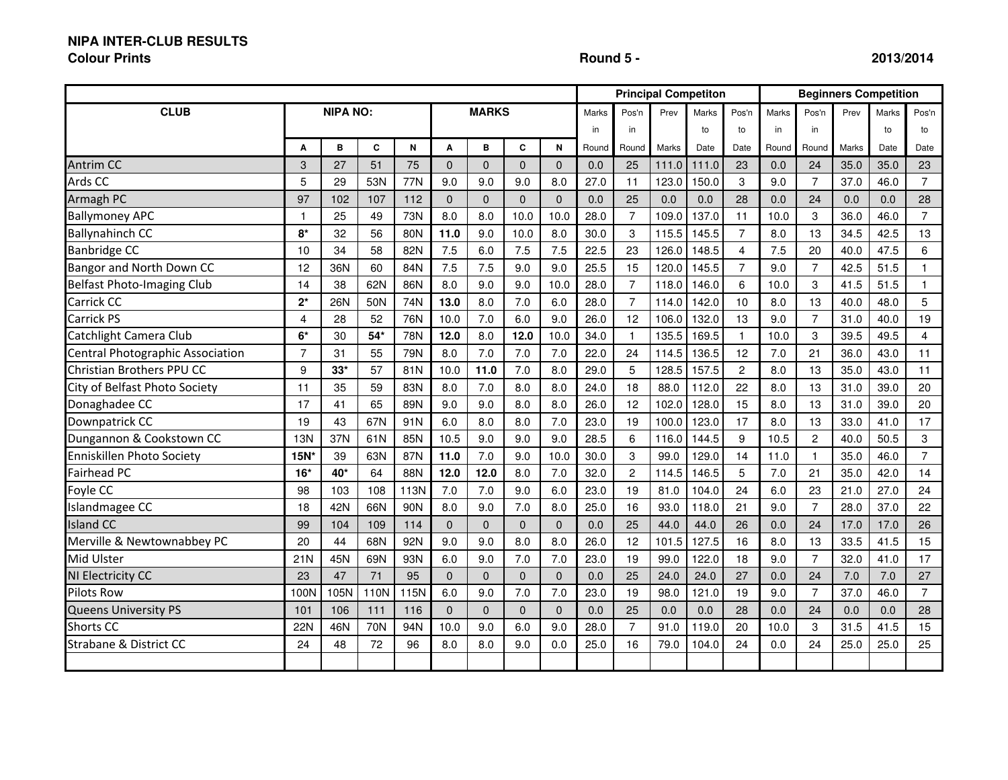#### **NIPA INTER-CLUB RESULTS**

#### **Colour Prints**

## **Round 5 - 2013/2014**

|                                   |                 |            |       |      |              |                |              |              |       |                |       | <b>Principal Competiton</b> |                | <b>Beginners Competition</b> |                |       |       |                |
|-----------------------------------|-----------------|------------|-------|------|--------------|----------------|--------------|--------------|-------|----------------|-------|-----------------------------|----------------|------------------------------|----------------|-------|-------|----------------|
| <b>CLUB</b>                       | <b>NIPA NO:</b> |            |       |      | <b>MARKS</b> |                |              |              | Marks | Pos'n          | Prev  | Marks                       | Pos'n          | Marks                        | Pos'n          | Prev  | Marks | Pos'n          |
|                                   |                 |            |       |      |              |                | in           | in           |       | to             | to    | in                          | in             |                              | to             | to    |       |                |
|                                   | A               | B          | C     | N    | A            | в              | C            | N            | Round | Round          | Marks | Date                        | Date           | Round                        | Round          | Marks | Date  | Date           |
| <b>Antrim CC</b>                  | 3               | 27         | 51    | 75   | $\Omega$     | $\overline{0}$ | $\Omega$     | $\mathbf{0}$ | 0.0   | 25             | 111.0 | 111.0                       | 23             | 0.0                          | 24             | 35.0  | 35.0  | 23             |
| Ards CC                           | 5               | 29         | 53N   | 77N  | 9.0          | 9.0            | 9.0          | 8.0          | 27.0  | 11             | 123.0 | 150.0                       | 3              | 9.0                          | $\overline{7}$ | 37.0  | 46.0  | $\overline{7}$ |
| Armagh PC                         | 97              | 102        | 107   | 112  | $\Omega$     | $\Omega$       | $\Omega$     | $\Omega$     | 0.0   | 25             | 0.0   | 0.0                         | 28             | 0.0                          | 24             | 0.0   | 0.0   | 28             |
| <b>Ballymoney APC</b>             | $\mathbf{1}$    | 25         | 49    | 73N  | 8.0          | 8.0            | 10.0         | 10.0         | 28.0  | $\overline{7}$ | 109.0 | 137.0                       | 11             | 10.0                         | 3              | 36.0  | 46.0  | $\overline{7}$ |
| <b>Ballynahinch CC</b>            | $8*$            | 32         | 56    | 80N  | 11.0         | 9.0            | 10.0         | 8.0          | 30.0  | 3              | 115.5 | 145.5                       | $\overline{7}$ | 8.0                          | 13             | 34.5  | 42.5  | 13             |
| Banbridge CC                      | 10              | 34         | 58    | 82N  | 7.5          | 6.0            | 7.5          | 7.5          | 22.5  | 23             | 126.0 | 148.5                       | 4              | 7.5                          | 20             | 40.0  | 47.5  | 6              |
| Bangor and North Down CC          | 12              | 36N        | 60    | 84N  | 7.5          | 7.5            | 9.0          | 9.0          | 25.5  | 15             | 120.0 | 145.5                       | $\overline{7}$ | 9.0                          | $\overline{7}$ | 42.5  | 51.5  | $\mathbf{1}$   |
| <b>Belfast Photo-Imaging Club</b> | 14              | 38         | 62N   | 86N  | 8.0          | 9.0            | 9.0          | 10.0         | 28.0  | $\overline{7}$ | 118.0 | 146.0                       | 6              | 10.0                         | 3              | 41.5  | 51.5  | 1              |
| Carrick CC                        | $2^*$           | <b>26N</b> | 50N   | 74N  | 13.0         | 8.0            | 7.0          | 6.0          | 28.0  | $\overline{7}$ | 114.0 | 142.0                       | 10             | 8.0                          | 13             | 40.0  | 48.0  | 5              |
| Carrick PS                        | $\overline{4}$  | 28         | 52    | 76N  | 10.0         | 7.0            | 6.0          | 9.0          | 26.0  | 12             | 106.0 | 132.0                       | 13             | 9.0                          | $\overline{7}$ | 31.0  | 40.0  | 19             |
| Catchlight Camera Club            | $6*$            | 30         | $54*$ | 78N  | 12.0         | 8.0            | 12.0         | 10.0         | 34.0  | $\mathbf{1}$   | 135.5 | 169.5                       | $\mathbf{1}$   | 10.0                         | 3              | 39.5  | 49.5  | $\overline{4}$ |
| Central Photographic Association  | $\overline{7}$  | 31         | 55    | 79N  | 8.0          | 7.0            | 7.0          | 7.0          | 22.0  | 24             | 114.5 | 136.5                       | 12             | 7.0                          | 21             | 36.0  | 43.0  | 11             |
| Christian Brothers PPU CC         | 9               | $33*$      | 57    | 81N  | 10.0         | 11.0           | 7.0          | 8.0          | 29.0  | 5              | 128.5 | 157.5                       | $\overline{c}$ | 8.0                          | 13             | 35.0  | 43.0  | 11             |
| City of Belfast Photo Society     | 11              | 35         | 59    | 83N  | 8.0          | 7.0            | 8.0          | 8.0          | 24.0  | 18             | 88.0  | 112.0                       | 22             | 8.0                          | 13             | 31.0  | 39.0  | 20             |
| Donaghadee CC                     | 17              | 41         | 65    | 89N  | 9.0          | 9.0            | 8.0          | 8.0          | 26.0  | 12             | 102.0 | 128.0                       | 15             | 8.0                          | 13             | 31.0  | 39.0  | 20             |
| Downpatrick CC                    | 19              | 43         | 67N   | 91N  | 6.0          | 8.0            | 8.0          | 7.0          | 23.0  | 19             | 100.0 | 123.0                       | 17             | 8.0                          | 13             | 33.0  | 41.0  | 17             |
| Dungannon & Cookstown CC          | <b>13N</b>      | 37N        | 61N   | 85N  | 10.5         | 9.0            | 9.0          | 9.0          | 28.5  | 6              | 116.0 | 144.5                       | 9              | 10.5                         | $\overline{c}$ | 40.0  | 50.5  | 3              |
| Enniskillen Photo Society         | 15N             | 39         | 63N   | 87N  | 11.0         | 7.0            | 9.0          | 10.0         | 30.0  | 3              | 99.0  | 129.0                       | 14             | 11.0                         | $\mathbf{1}$   | 35.0  | 46.0  | $\overline{7}$ |
| Fairhead PC                       | $16*$           | 40*        | 64    | 88N  | 12.0         | 12.0           | 8.0          | 7.0          | 32.0  | $\overline{c}$ | 114.5 | 146.5                       | 5              | 7.0                          | 21             | 35.0  | 42.0  | 14             |
| Foyle CC                          | 98              | 103        | 108   | 113N | 7.0          | 7.0            | 9.0          | 6.0          | 23.0  | 19             | 81.0  | 104.0                       | 24             | 6.0                          | 23             | 21.0  | 27.0  | 24             |
| Islandmagee CC                    | 18              | 42N        | 66N   | 90N  | 8.0          | 9.0            | 7.0          | 8.0          | 25.0  | 16             | 93.0  | 118.0                       | 21             | 9.0                          | $\overline{7}$ | 28.0  | 37.0  | 22             |
| <b>Island CC</b>                  | 99              | 104        | 109   | 114  | $\Omega$     | $\Omega$       | $\Omega$     | $\mathbf{0}$ | 0.0   | 25             | 44.0  | 44.0                        | 26             | 0.0                          | 24             | 17.0  | 17.0  | 26             |
| Merville & Newtownabbey PC        | 20              | 44         | 68N   | 92N  | 9.0          | 9.0            | 8.0          | 8.0          | 26.0  | 12             | 101.5 | 127.5                       | 16             | 8.0                          | 13             | 33.5  | 41.5  | 15             |
| Mid Ulster                        | 21N             | 45N        | 69N   | 93N  | 6.0          | 9.0            | 7.0          | 7.0          | 23.0  | 19             | 99.0  | 122.0                       | 18             | 9.0                          | $\overline{7}$ | 32.0  | 41.0  | 17             |
| NI Electricity CC                 | 23              | 47         | 71    | 95   | $\Omega$     | $\mathbf{0}$   | $\mathbf{0}$ | $\mathbf{0}$ | 0.0   | 25             | 24.0  | 24.0                        | 27             | 0.0                          | 24             | 7.0   | 7.0   | 27             |
| <b>Pilots Row</b>                 | 100N            | 105N       | 110N  | 115N | 6.0          | 9.0            | 7.0          | 7.0          | 23.0  | 19             | 98.0  | 121.0                       | 19             | 9.0                          | $\overline{7}$ | 37.0  | 46.0  | $\overline{7}$ |
| Queens University PS              | 101             | 106        | 111   | 116  | $\Omega$     | $\Omega$       | $\Omega$     | $\mathbf 0$  | 0.0   | 25             | 0.0   | 0.0                         | 28             | 0.0                          | 24             | 0.0   | 0.0   | 28             |
| <b>Shorts CC</b>                  | 22N             | 46N        | 70N   | 94N  | 10.0         | 9.0            | 6.0          | 9.0          | 28.0  | $\overline{7}$ | 91.0  | 119.0                       | 20             | 10.0                         | 3              | 31.5  | 41.5  | 15             |
| <b>Strabane &amp; District CC</b> | 24              | 48         | 72    | 96   | 8.0          | 8.0            | 9.0          | 0.0          | 25.0  | 16             | 79.0  | 104.0                       | 24             | 0.0                          | 24             | 25.0  | 25.0  | 25             |
|                                   |                 |            |       |      |              |                |              |              |       |                |       |                             |                |                              |                |       |       |                |